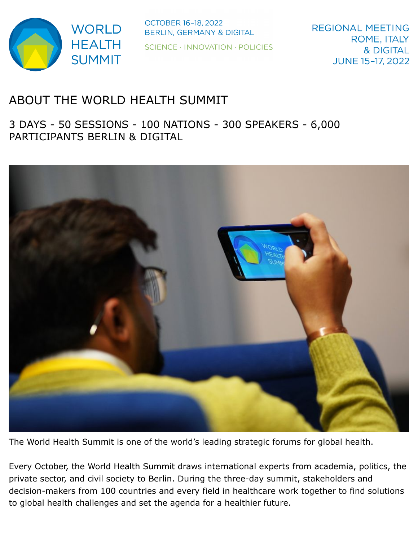

**OCTOBER 16-18, 2022** BERLIN, GERMANY & DIGITAL SCIENCE · INNOVATION · POLICIES

# ABOUT THE WORLD HEALTH SUMMIT

3 DAYS - 50 SESSIONS - 100 NATIONS - 300 SPEAKERS - 6,000 PARTICIPANTS BERLIN & DIGITAL



The World Health Summit is one of the world's leading strategic forums for global health.

Every October, the World Health Summit draws international experts from academia, politics, the private sector, and civil society to Berlin. During the three-day summit, stakeholders and decision-makers from 100 countries and every field in healthcare work together to find solutions to global health challenges and set the agenda for a healthier future.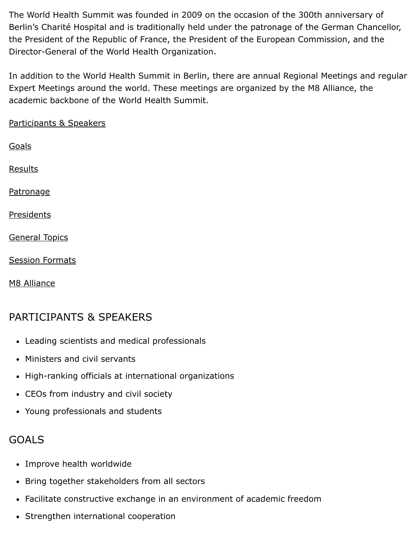The World Health Summit was founded in 2009 on the occasion of the 300th anniversary of Berlin's Charité Hospital and is traditionally held under the patronage of the German Chancellor, the President of the Republic of France, the President of the European Commission, and the Director-General of the World Health Organization.

In addition to the World Health Summit in Berlin, there are annual Regional Meetings and regular Expert Meetings around the world. These meetings are organized by the M8 Alliance, the academic backbone of the World Health Summit.

[Participants & Speakers](#page-1-0)

[Results](#page-2-0)

[Patronage](#page-2-1)

[Presidents](#page-2-2)

[General Topics](#page-3-0)

[Session Formats](#page-3-1)

[M8 Alliance](#page-3-2)

## <span id="page-1-0"></span>PARTICIPANTS & SPEAKERS

- Leading scientists and medical professionals
- Ministers and civil servants
- High-ranking officials at international organizations
- CEOs from industry and civil society
- Young professionals and students

## <span id="page-1-1"></span>GOALS

- Improve health worldwide
- Bring together stakeholders from all sectors
- Facilitate constructive exchange in an environment of academic freedom
- Strengthen international cooperation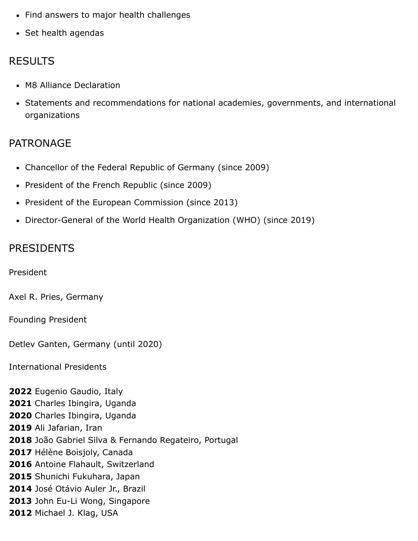- Find answers to major health challenges
- Set health agendas

#### <span id="page-2-0"></span>RESULTS

- M8 Alliance Declaration
- Statements and recommendations for national academies, governments, and international organizations

#### <span id="page-2-1"></span>PATRONAGE

- Chancellor of the Federal Republic of Germany (since 2009)
- President of the French Republic (since 2009)
- President of the European Commission (since 2013)
- Director-General of the World Health Organization (WHO) (since 2019)

#### <span id="page-2-2"></span>PRESIDENTS

President

Axel R. Pries, Germany

Founding President

Detlev Ganten, Germany (until 2020)

International Presidents

 Eugenio Gaudio, Italy Charles Ibingira, Uganda Charles Ibingira, Uganda Ali Jafarian, Iran João Gabriel Silva & Fernando Regateiro, Portugal Hélène Boisjoly, Canada Antoine Flahault, Switzerland Shunichi Fukuhara, Japan José Otávio Auler Jr., Brazil John Eu-Li Wong, Singapore Michael J. Klag, USA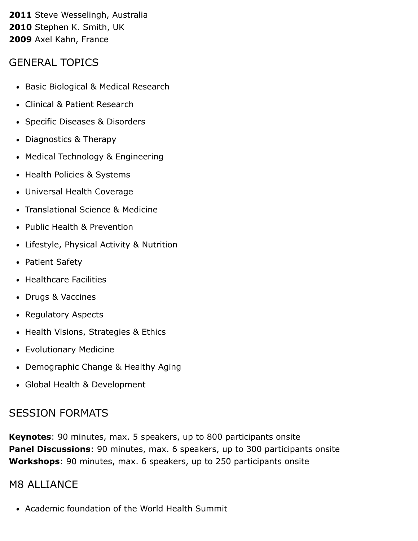**2011** Steve Wesselingh, Australia **2010** Stephen K. Smith, UK **2009** Axel Kahn, France

#### <span id="page-3-0"></span>GENERAL TOPICS

- Basic Biological & Medical Research
- Clinical & Patient Research
- Specific Diseases & Disorders
- Diagnostics & Therapy
- Medical Technology & Engineering
- Health Policies & Systems
- Universal Health Coverage
- Translational Science & Medicine
- Public Health & Prevention
- Lifestyle, Physical Activity & Nutrition
- Patient Safety
- Healthcare Facilities
- Drugs & Vaccines
- Regulatory Aspects
- Health Visions, Strategies & Ethics
- Evolutionary Medicine
- Demographic Change & Healthy Aging
- Global Health & Development

### <span id="page-3-1"></span>SESSION FORMATS

**Keynotes**: 90 minutes, max. 5 speakers, up to 800 participants onsite **Panel Discussions**: 90 minutes, max. 6 speakers, up to 300 participants onsite **Workshops**: 90 minutes, max. 6 speakers, up to 250 participants onsite

#### <span id="page-3-2"></span>M8 ALLIANCE

Academic foundation of the World Health Summit